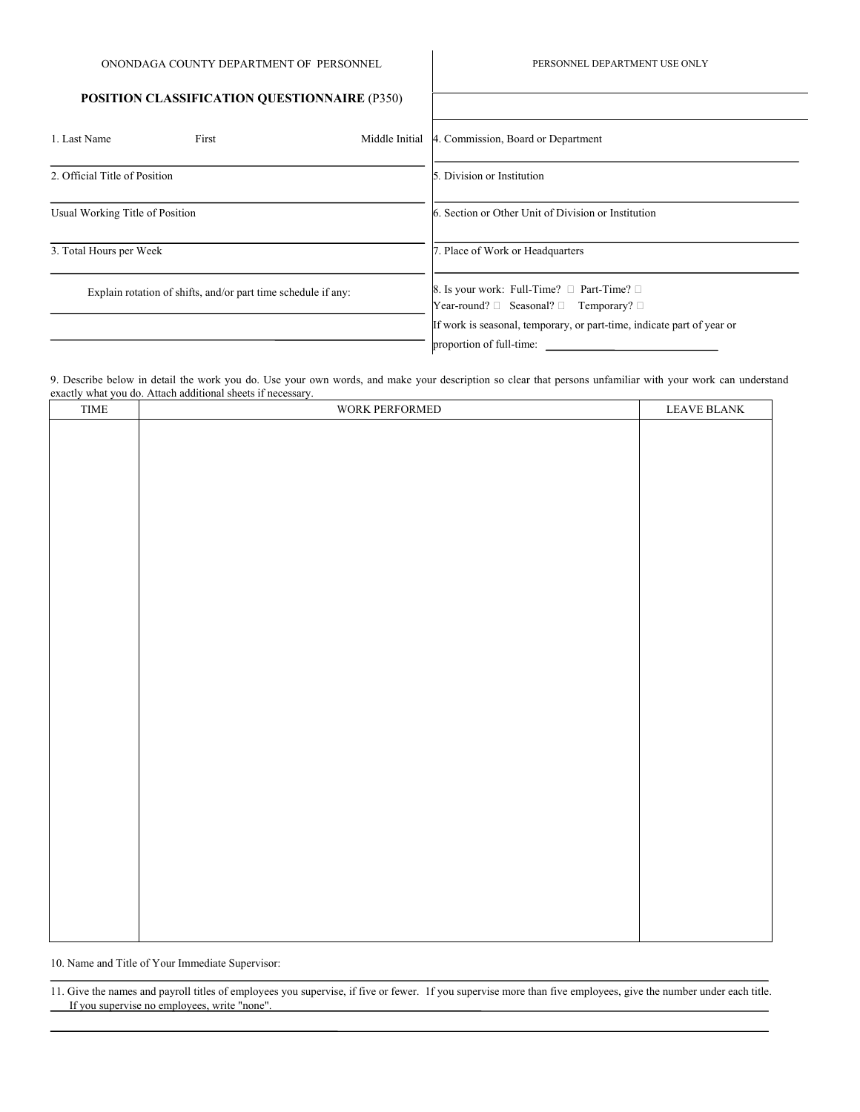PERSONNEL DEPARTMENT USE ONLY

## **POSITION CLASSIFICATION QUESTIONNAIRE** (P350)

| 1. Last Name                                                  | First | Middle Initial | 4. Commission, Board or Department                                                                            |  |  |
|---------------------------------------------------------------|-------|----------------|---------------------------------------------------------------------------------------------------------------|--|--|
| 2. Official Title of Position                                 |       |                | 5. Division or Institution                                                                                    |  |  |
| Usual Working Title of Position                               |       |                | 6. Section or Other Unit of Division or Institution                                                           |  |  |
| 3. Total Hours per Week                                       |       |                | 7. Place of Work or Headquarters                                                                              |  |  |
| Explain rotation of shifts, and/or part time schedule if any: |       |                | 8. Is your work: Full-Time? $\Box$ Part-Time? $\Box$<br>Year-round? $\Box$ Seasonal? $\Box$ Temporary? $\Box$ |  |  |
|                                                               |       |                | If work is seasonal, temporary, or part-time, indicate part of year or<br>proportion of full-time:            |  |  |

9. Describe below in detail the work you do. Use your own words, and make your description so clear that persons unfamiliar with your work can understand exactly what you do. Attach additional sheets if nec

| TIME | exactly what you do. Attach additional sheets if necessary.<br>WORK PERFORMED | LEAVE BLANK |
|------|-------------------------------------------------------------------------------|-------------|
|      |                                                                               |             |
|      |                                                                               |             |
|      |                                                                               |             |
|      |                                                                               |             |
|      |                                                                               |             |
|      |                                                                               |             |
|      |                                                                               |             |
|      |                                                                               |             |
|      |                                                                               |             |
|      |                                                                               |             |
|      |                                                                               |             |
|      |                                                                               |             |
|      |                                                                               |             |
|      |                                                                               |             |
|      |                                                                               |             |
|      |                                                                               |             |
|      |                                                                               |             |
|      |                                                                               |             |
|      |                                                                               |             |
|      |                                                                               |             |
|      |                                                                               |             |
|      |                                                                               |             |
|      |                                                                               |             |
|      |                                                                               |             |
|      |                                                                               |             |

10. Name and Title of Your Immediate Supervisor:

11. Give the names and payroll titles of employees you supervise, if five or fewer. 1f you supervise more than five employees, give the number under each title. If you supervise no employees, write "none".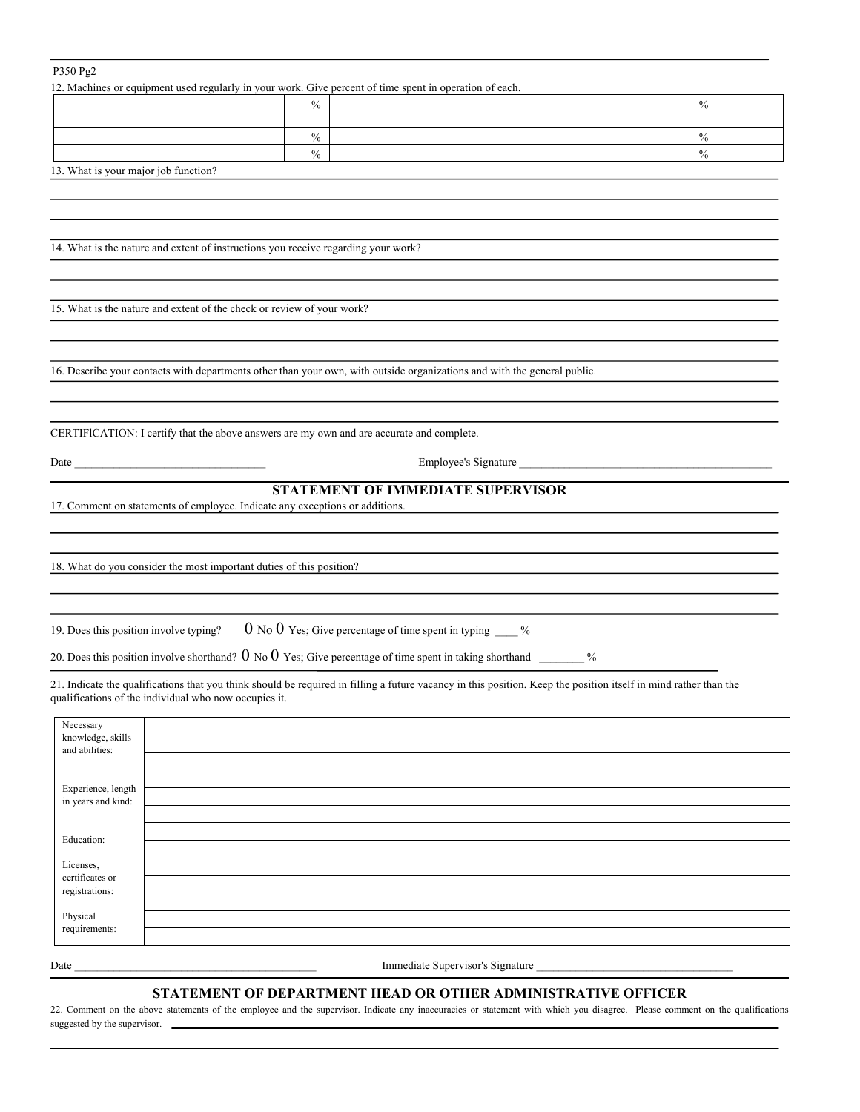## P350 Pg2

12. Machines or equipment used regularly in your work. Give percent of time spent in operation of each.

| $\frac{0}{0}$ | $\frac{0}{0}$ |
|---------------|---------------|
|               |               |
| $\frac{0}{0}$ |               |
| $\frac{0}{0}$ |               |
|               |               |

13. What is your major job function?

14. What is the nature and extent of instructions you receive regarding your work?

15. What is the nature and extent of the check or review of your work?

16. Describe your contacts with departments other than your own, with outside organizations and with the general public.

CERTIFlCATION: I certify that the above answers are my own and are accurate and complete.

Date \_\_\_\_\_\_\_\_\_\_\_\_\_\_\_\_\_\_\_\_\_\_\_\_\_\_\_\_\_\_\_\_\_\_ Employee's Signature \_\_\_\_\_\_\_\_\_\_\_\_\_\_\_\_\_\_\_\_\_\_\_\_\_\_\_\_\_\_\_\_\_\_\_\_\_\_\_\_\_\_\_\_\_

## **STATEMENT OF IMMEDIATE SUPERVISOR**

17. Comment on statements of employee. Indicate any exceptions or additions.

18. What do you consider the most important duties of this position?

19. Does this position involve typing?  $0 \text{ No } 0$  Yes; Give percentage of time spent in typing  $\frac{1}{\sqrt{2}}$ %

20. Does this position involve shorthand?  $0 \text{ No } 0$  Yes; Give percentage of time spent in taking shorthand \_\_\_\_\_\_ %

21. Indicate the qualifications that you think should be required in filling a future vacancy in this position. Keep the position itself in mind rather than the qualifications of the individual who now occupies it.

| Necessary<br>knowledge, skills    |  |
|-----------------------------------|--|
| and abilities:                    |  |
| Experience, length                |  |
| in years and kind:                |  |
| Education:                        |  |
|                                   |  |
| Licenses,                         |  |
| certificates or<br>registrations: |  |
|                                   |  |
| Physical                          |  |
| requirements:                     |  |

Date \_\_\_\_\_\_\_\_\_\_\_\_\_\_\_\_\_\_\_\_\_\_\_\_\_\_\_\_\_\_\_\_\_\_\_\_\_\_\_\_\_\_\_ Immediate Supervisor's Signature \_\_\_\_\_\_\_\_\_\_\_\_\_\_\_\_\_\_\_\_\_\_\_\_\_\_\_\_\_\_\_\_\_\_\_

## **STATEMENT OF DEPARTMENT HEAD OR OTHER ADMINISTRATIVE OFFICER**

22. Comment on the above statements of the employee and the supervisor. Indicate any inaccuracies or statement with which you disagree. Please comment on the qualifications suggested by the supervisor.